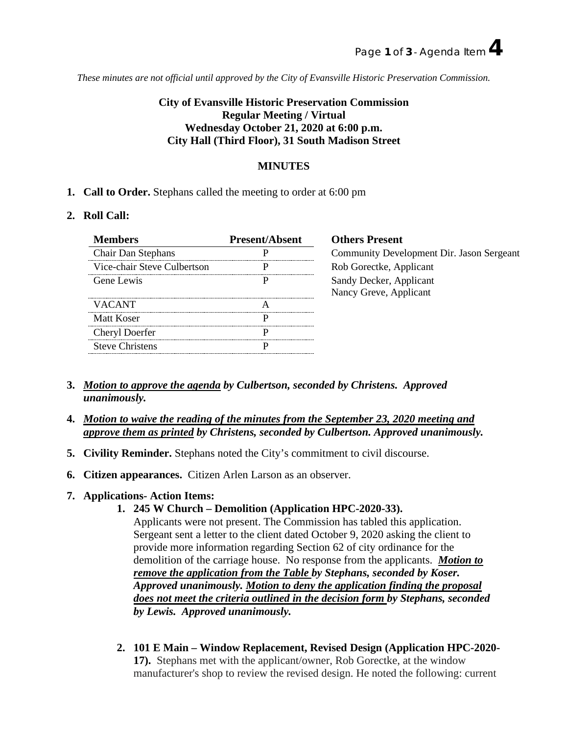*These minutes are not official until approved by the City of Evansville Historic Preservation Commission.*

# **City of Evansville Historic Preservation Commission Regular Meeting / Virtual Wednesday October 21, 2020 at 6:00 p.m. City Hall (Third Floor), 31 South Madison Street**

## **MINUTES**

**1. Call to Order.** Stephans called the meeting to order at 6:00 pm

#### **2. Roll Call:**

| <b>Members</b>              | <b>Present/Absent</b>                 | <b>Others Present</b>                     |
|-----------------------------|---------------------------------------|-------------------------------------------|
| <b>Chair Dan Stephans</b>   |                                       | Community Development Dir. Jason Sergeant |
| Vice-chair Steve Culbertson |                                       | Rob Gorectke, Applicant                   |
| Gene Lewis                  |                                       | Sandy Decker, Applicant                   |
|                             |                                       | Nancy Greve, Applicant                    |
| VACANT                      |                                       |                                           |
| Matt Koser                  |                                       |                                           |
| Cheryl Doerfer              |                                       |                                           |
| <b>Steve Christens</b>      | ------------------------------------- |                                           |

- **3.** *Motion to approve the agenda by Culbertson, seconded by Christens. Approved unanimously.*
- **4.** *Motion to waive the reading of the minutes from the September 23, 2020 meeting and approve them as printed by Christens, seconded by Culbertson. Approved unanimously.*
- **5. Civility Reminder.** Stephans noted the City's commitment to civil discourse.
- **6. Citizen appearances.** Citizen Arlen Larson as an observer.

### **7. Applications- Action Items:**

**1. 245 W Church – Demolition (Application HPC-2020-33).**

Applicants were not present. The Commission has tabled this application. Sergeant sent a letter to the client dated October 9, 2020 asking the client to provide more information regarding Section 62 of city ordinance for the demolition of the carriage house. No response from the applicants. *Motion to remove the application from the Table by Stephans, seconded by Koser. Approved unanimously. Motion to deny the application finding the proposal does not meet the criteria outlined in the decision form by Stephans, seconded by Lewis. Approved unanimously.*

**2. 101 E Main – Window Replacement, Revised Design (Application HPC-2020- 17).** Stephans met with the applicant/owner, Rob Gorectke, at the window manufacturer's shop to review the revised design. He noted the following: current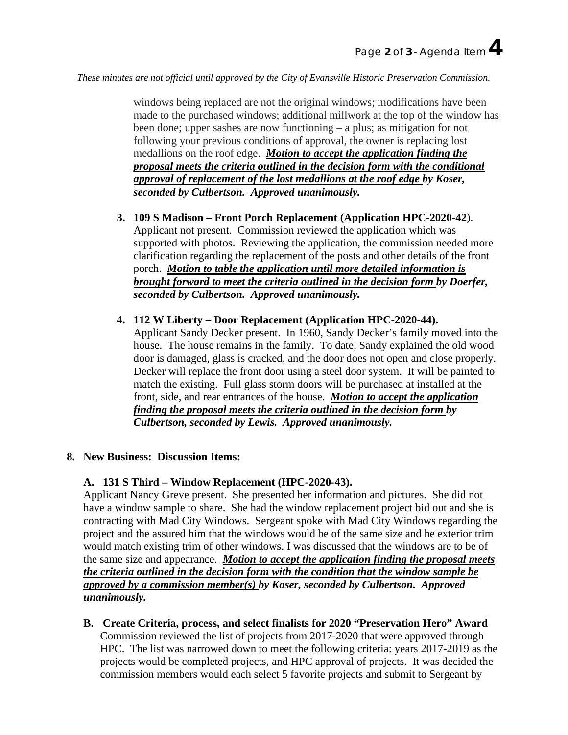*These minutes are not official until approved by the City of Evansville Historic Preservation Commission.*

windows being replaced are not the original windows; modifications have been made to the purchased windows; additional millwork at the top of the window has been done; upper sashes are now functioning – a plus; as mitigation for not following your previous conditions of approval, the owner is replacing lost medallions on the roof edge. *Motion to accept the application finding the proposal meets the criteria outlined in the decision form with the conditional approval of replacement of the lost medallions at the roof edge by Koser, seconded by Culbertson. Approved unanimously.*

- **3. 109 S Madison – Front Porch Replacement (Application HPC-2020-42**). Applicant not present. Commission reviewed the application which was supported with photos. Reviewing the application, the commission needed more clarification regarding the replacement of the posts and other details of the front porch. *Motion to table the application until more detailed information is brought forward to meet the criteria outlined in the decision form by Doerfer, seconded by Culbertson. Approved unanimously.*
- **4. 112 W Liberty – Door Replacement (Application HPC-2020-44).** Applicant Sandy Decker present. In 1960, Sandy Decker's family moved into the house. The house remains in the family. To date, Sandy explained the old wood door is damaged, glass is cracked, and the door does not open and close properly. Decker will replace the front door using a steel door system. It will be painted to match the existing. Full glass storm doors will be purchased at installed at the front, side, and rear entrances of the house. *Motion to accept the application finding the proposal meets the criteria outlined in the decision form by Culbertson, seconded by Lewis. Approved unanimously.*

### **8. New Business: Discussion Items:**

### **A. 131 S Third – Window Replacement (HPC-2020-43).**

Applicant Nancy Greve present. She presented her information and pictures. She did not have a window sample to share. She had the window replacement project bid out and she is contracting with Mad City Windows. Sergeant spoke with Mad City Windows regarding the project and the assured him that the windows would be of the same size and he exterior trim would match existing trim of other windows. I was discussed that the windows are to be of the same size and appearance. *Motion to accept the application finding the proposal meets the criteria outlined in the decision form with the condition that the window sample be approved by a commission member(s) by Koser, seconded by Culbertson. Approved unanimously.*

**B. Create Criteria, process, and select finalists for 2020 "Preservation Hero" Award** Commission reviewed the list of projects from 2017-2020 that were approved through HPC. The list was narrowed down to meet the following criteria: years 2017-2019 as the projects would be completed projects, and HPC approval of projects. It was decided the commission members would each select 5 favorite projects and submit to Sergeant by